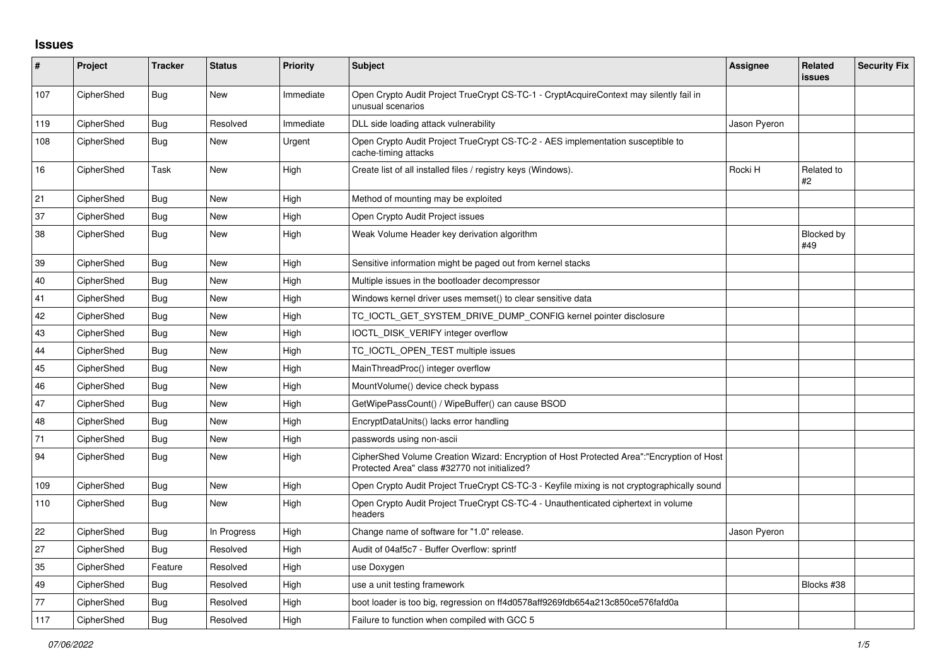## **Issues**

| $\pmb{\#}$ | Project    | <b>Tracker</b> | <b>Status</b> | <b>Priority</b> | <b>Subject</b>                                                                                                                             | Assignee     | <b>Related</b><br>issues | <b>Security Fix</b> |
|------------|------------|----------------|---------------|-----------------|--------------------------------------------------------------------------------------------------------------------------------------------|--------------|--------------------------|---------------------|
| 107        | CipherShed | <b>Bug</b>     | New           | Immediate       | Open Crypto Audit Project TrueCrypt CS-TC-1 - CryptAcquireContext may silently fail in<br>unusual scenarios                                |              |                          |                     |
| 119        | CipherShed | Bug            | Resolved      | Immediate       | DLL side loading attack vulnerability                                                                                                      | Jason Pyeron |                          |                     |
| 108        | CipherShed | <b>Bug</b>     | New           | Urgent          | Open Crypto Audit Project TrueCrypt CS-TC-2 - AES implementation susceptible to<br>cache-timing attacks                                    |              |                          |                     |
| 16         | CipherShed | Task           | <b>New</b>    | High            | Create list of all installed files / registry keys (Windows).                                                                              | Rocki H      | Related to<br>#2         |                     |
| 21         | CipherShed | <b>Bug</b>     | <b>New</b>    | High            | Method of mounting may be exploited                                                                                                        |              |                          |                     |
| 37         | CipherShed | Bug            | New           | High            | Open Crypto Audit Project issues                                                                                                           |              |                          |                     |
| 38         | CipherShed | Bug            | New           | High            | Weak Volume Header key derivation algorithm                                                                                                |              | <b>Blocked by</b><br>#49 |                     |
| 39         | CipherShed | <b>Bug</b>     | New           | High            | Sensitive information might be paged out from kernel stacks                                                                                |              |                          |                     |
| 40         | CipherShed | Bug            | <b>New</b>    | High            | Multiple issues in the bootloader decompressor                                                                                             |              |                          |                     |
| 41         | CipherShed | Bug            | <b>New</b>    | High            | Windows kernel driver uses memset() to clear sensitive data                                                                                |              |                          |                     |
| 42         | CipherShed | <b>Bug</b>     | New           | High            | TC IOCTL GET SYSTEM DRIVE DUMP CONFIG kernel pointer disclosure                                                                            |              |                          |                     |
| 43         | CipherShed | <b>Bug</b>     | <b>New</b>    | High            | IOCTL DISK VERIFY integer overflow                                                                                                         |              |                          |                     |
| 44         | CipherShed | Bug            | <b>New</b>    | High            | TC_IOCTL_OPEN_TEST multiple issues                                                                                                         |              |                          |                     |
| 45         | CipherShed | Bug            | <b>New</b>    | High            | MainThreadProc() integer overflow                                                                                                          |              |                          |                     |
| 46         | CipherShed | Bug            | New           | High            | MountVolume() device check bypass                                                                                                          |              |                          |                     |
| 47         | CipherShed | Bug            | New           | High            | GetWipePassCount() / WipeBuffer() can cause BSOD                                                                                           |              |                          |                     |
| 48         | CipherShed | Bug            | <b>New</b>    | High            | EncryptDataUnits() lacks error handling                                                                                                    |              |                          |                     |
| 71         | CipherShed | Bug            | New           | High            | passwords using non-ascii                                                                                                                  |              |                          |                     |
| 94         | CipherShed | Bug            | New           | High            | CipherShed Volume Creation Wizard: Encryption of Host Protected Area":"Encryption of Host<br>Protected Area" class #32770 not initialized? |              |                          |                     |
| 109        | CipherShed | Bug            | <b>New</b>    | High            | Open Crypto Audit Project TrueCrypt CS-TC-3 - Keyfile mixing is not cryptographically sound                                                |              |                          |                     |
| 110        | CipherShed | Bug            | New           | High            | Open Crypto Audit Project TrueCrypt CS-TC-4 - Unauthenticated ciphertext in volume<br>headers                                              |              |                          |                     |
| 22         | CipherShed | Bug            | In Progress   | High            | Change name of software for "1.0" release.                                                                                                 | Jason Pyeron |                          |                     |
| 27         | CipherShed | Bug            | Resolved      | High            | Audit of 04af5c7 - Buffer Overflow: sprintf                                                                                                |              |                          |                     |
| 35         | CipherShed | Feature        | Resolved      | High            | use Doxygen                                                                                                                                |              |                          |                     |
| 49         | CipherShed | Bug            | Resolved      | High            | use a unit testing framework                                                                                                               |              | Blocks #38               |                     |
| 77         | CipherShed | Bug            | Resolved      | High            | boot loader is too big, regression on ff4d0578aff9269fdb654a213c850ce576fafd0a                                                             |              |                          |                     |
| 117        | CipherShed | <b>Bug</b>     | Resolved      | High            | Failure to function when compiled with GCC 5                                                                                               |              |                          |                     |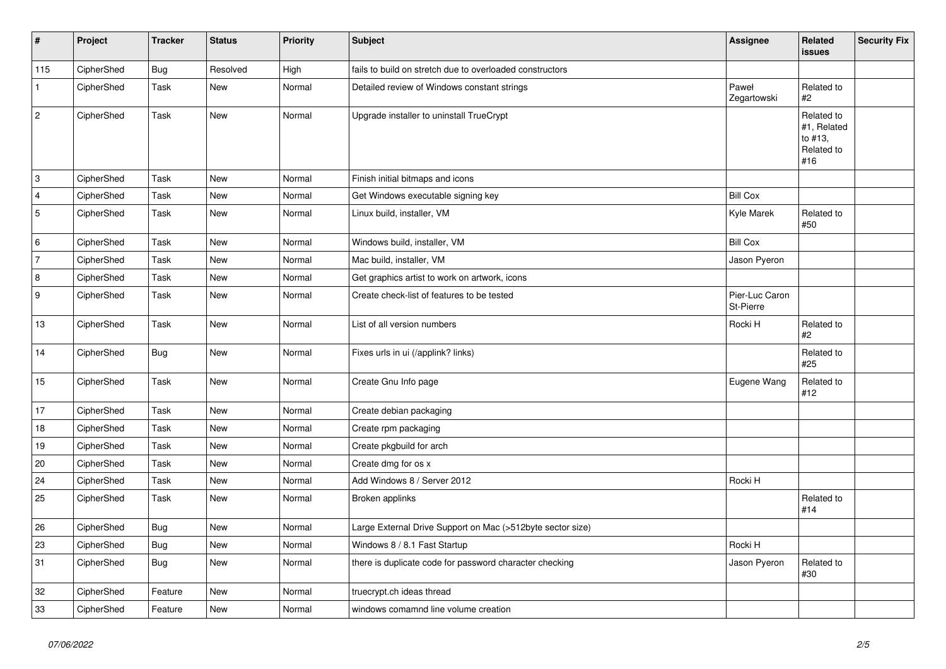| $\vert$ #      | Project    | <b>Tracker</b> | <b>Status</b> | <b>Priority</b> | Subject                                                    | Assignee                    | <b>Related</b><br><b>issues</b>                           | Security Fix |
|----------------|------------|----------------|---------------|-----------------|------------------------------------------------------------|-----------------------------|-----------------------------------------------------------|--------------|
| 115            | CipherShed | <b>Bug</b>     | Resolved      | High            | fails to build on stretch due to overloaded constructors   |                             |                                                           |              |
| $\mathbf{1}$   | CipherShed | Task           | New           | Normal          | Detailed review of Windows constant strings                | Paweł<br>Zegartowski        | Related to<br>#2                                          |              |
| $\overline{c}$ | CipherShed | Task           | New           | Normal          | Upgrade installer to uninstall TrueCrypt                   |                             | Related to<br>#1, Related<br>to #13,<br>Related to<br>#16 |              |
| 3              | CipherShed | Task           | <b>New</b>    | Normal          | Finish initial bitmaps and icons                           |                             |                                                           |              |
| 4              | CipherShed | Task           | <b>New</b>    | Normal          | Get Windows executable signing key                         | <b>Bill Cox</b>             |                                                           |              |
| 5              | CipherShed | Task           | New           | Normal          | Linux build, installer, VM                                 | Kyle Marek                  | Related to<br>#50                                         |              |
| 6              | CipherShed | Task           | New           | Normal          | Windows build, installer, VM                               | <b>Bill Cox</b>             |                                                           |              |
| 7              | CipherShed | Task           | New           | Normal          | Mac build, installer, VM                                   | Jason Pyeron                |                                                           |              |
| $\overline{8}$ | CipherShed | Task           | New           | Normal          | Get graphics artist to work on artwork, icons              |                             |                                                           |              |
| 9              | CipherShed | Task           | New           | Normal          | Create check-list of features to be tested                 | Pier-Luc Caron<br>St-Pierre |                                                           |              |
| $13$           | CipherShed | Task           | <b>New</b>    | Normal          | List of all version numbers                                | Rocki H                     | Related to<br>#2                                          |              |
| 14             | CipherShed | Bug            | New           | Normal          | Fixes urls in ui (/applink? links)                         |                             | Related to<br>#25                                         |              |
| 15             | CipherShed | Task           | New           | Normal          | Create Gnu Info page                                       | Eugene Wang                 | Related to<br>#12                                         |              |
| 17             | CipherShed | Task           | New           | Normal          | Create debian packaging                                    |                             |                                                           |              |
| 18             | CipherShed | Task           | <b>New</b>    | Normal          | Create rpm packaging                                       |                             |                                                           |              |
| 19             | CipherShed | Task           | <b>New</b>    | Normal          | Create pkgbuild for arch                                   |                             |                                                           |              |
| 20             | CipherShed | Task           | New           | Normal          | Create dmg for os x                                        |                             |                                                           |              |
| 24             | CipherShed | Task           | New           | Normal          | Add Windows 8 / Server 2012                                | Rocki H                     |                                                           |              |
| 25             | CipherShed | Task           | New           | Normal          | Broken applinks                                            |                             | Related to<br>#14                                         |              |
| 26             | CipherShed | Bug            | New           | Normal          | Large External Drive Support on Mac (>512byte sector size) |                             |                                                           |              |
| 23             | CipherShed | <b>Bug</b>     | New           | Normal          | Windows 8 / 8.1 Fast Startup                               | Rocki H                     |                                                           |              |
| 31             | CipherShed | <b>Bug</b>     | New           | Normal          | there is duplicate code for password character checking    | Jason Pyeron                | Related to<br>#30                                         |              |
| 32             | CipherShed | Feature        | <b>New</b>    | Normal          | truecrypt.ch ideas thread                                  |                             |                                                           |              |
| 33             | CipherShed | Feature        | New           | Normal          | windows comamnd line volume creation                       |                             |                                                           |              |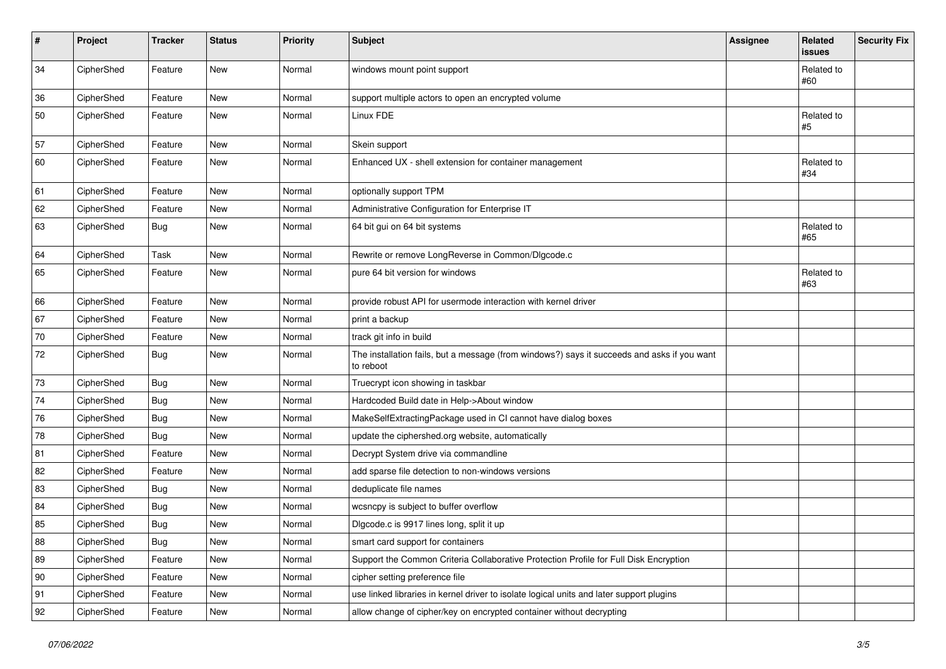| #  | Project    | <b>Tracker</b> | <b>Status</b> | Priority | <b>Subject</b>                                                                                           | <b>Assignee</b> | Related<br>issues | <b>Security Fix</b> |
|----|------------|----------------|---------------|----------|----------------------------------------------------------------------------------------------------------|-----------------|-------------------|---------------------|
| 34 | CipherShed | Feature        | New           | Normal   | windows mount point support                                                                              |                 | Related to<br>#60 |                     |
| 36 | CipherShed | Feature        | New           | Normal   | support multiple actors to open an encrypted volume                                                      |                 |                   |                     |
| 50 | CipherShed | Feature        | New           | Normal   | Linux FDE                                                                                                |                 | Related to<br>#5  |                     |
| 57 | CipherShed | Feature        | <b>New</b>    | Normal   | Skein support                                                                                            |                 |                   |                     |
| 60 | CipherShed | Feature        | New           | Normal   | Enhanced UX - shell extension for container management                                                   |                 | Related to<br>#34 |                     |
| 61 | CipherShed | Feature        | <b>New</b>    | Normal   | optionally support TPM                                                                                   |                 |                   |                     |
| 62 | CipherShed | Feature        | New           | Normal   | Administrative Configuration for Enterprise IT                                                           |                 |                   |                     |
| 63 | CipherShed | <b>Bug</b>     | New           | Normal   | 64 bit gui on 64 bit systems                                                                             |                 | Related to<br>#65 |                     |
| 64 | CipherShed | Task           | New           | Normal   | Rewrite or remove LongReverse in Common/Dlgcode.c                                                        |                 |                   |                     |
| 65 | CipherShed | Feature        | New           | Normal   | pure 64 bit version for windows                                                                          |                 | Related to<br>#63 |                     |
| 66 | CipherShed | Feature        | New           | Normal   | provide robust API for usermode interaction with kernel driver                                           |                 |                   |                     |
| 67 | CipherShed | Feature        | <b>New</b>    | Normal   | print a backup                                                                                           |                 |                   |                     |
| 70 | CipherShed | Feature        | New           | Normal   | track git info in build                                                                                  |                 |                   |                     |
| 72 | CipherShed | <b>Bug</b>     | New           | Normal   | The installation fails, but a message (from windows?) says it succeeds and asks if you want<br>to reboot |                 |                   |                     |
| 73 | CipherShed | Bug            | New           | Normal   | Truecrypt icon showing in taskbar                                                                        |                 |                   |                     |
| 74 | CipherShed | <b>Bug</b>     | <b>New</b>    | Normal   | Hardcoded Build date in Help->About window                                                               |                 |                   |                     |
| 76 | CipherShed | <b>Bug</b>     | New           | Normal   | MakeSelfExtractingPackage used in CI cannot have dialog boxes                                            |                 |                   |                     |
| 78 | CipherShed | Bug            | New           | Normal   | update the ciphershed.org website, automatically                                                         |                 |                   |                     |
| 81 | CipherShed | Feature        | <b>New</b>    | Normal   | Decrypt System drive via commandline                                                                     |                 |                   |                     |
| 82 | CipherShed | Feature        | New           | Normal   | add sparse file detection to non-windows versions                                                        |                 |                   |                     |
| 83 | CipherShed | <b>Bug</b>     | New           | Normal   | deduplicate file names                                                                                   |                 |                   |                     |
| 84 | CipherShed | <b>Bug</b>     | New           | Normal   | wcsncpy is subject to buffer overflow                                                                    |                 |                   |                     |
| 85 | CipherShed | <b>Bug</b>     | New           | Normal   | Digcode.c is 9917 lines long, split it up                                                                |                 |                   |                     |
| 88 | CipherShed | <b>Bug</b>     | New           | Normal   | smart card support for containers                                                                        |                 |                   |                     |
| 89 | CipherShed | Feature        | New           | Normal   | Support the Common Criteria Collaborative Protection Profile for Full Disk Encryption                    |                 |                   |                     |
| 90 | CipherShed | Feature        | New           | Normal   | cipher setting preference file                                                                           |                 |                   |                     |
| 91 | CipherShed | Feature        | New           | Normal   | use linked libraries in kernel driver to isolate logical units and later support plugins                 |                 |                   |                     |
| 92 | CipherShed | Feature        | New           | Normal   | allow change of cipher/key on encrypted container without decrypting                                     |                 |                   |                     |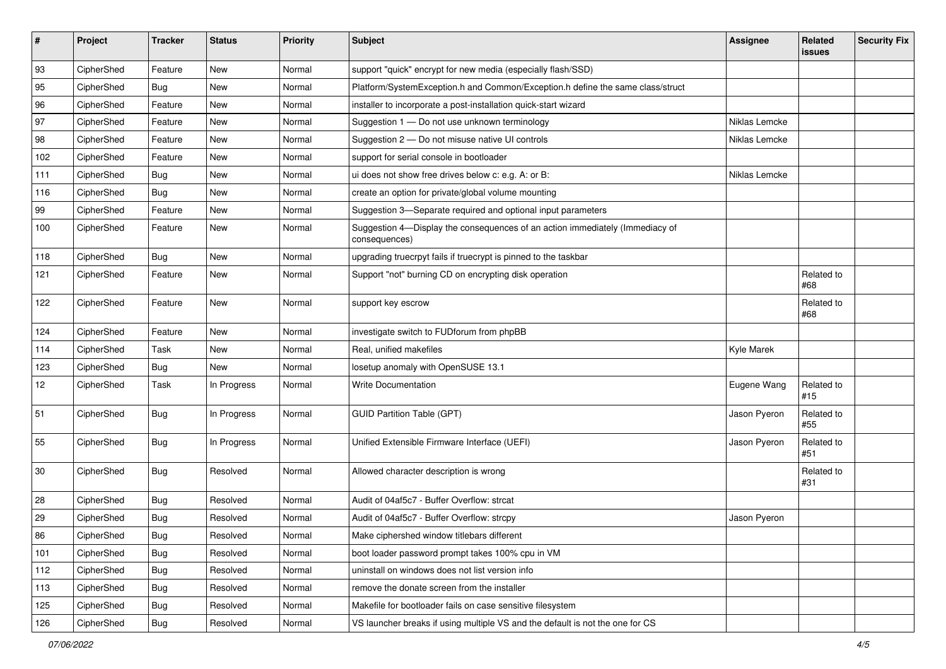| #   | Project    | <b>Tracker</b> | <b>Status</b> | Priority | <b>Subject</b>                                                                                | <b>Assignee</b> | Related<br>issues | <b>Security Fix</b> |
|-----|------------|----------------|---------------|----------|-----------------------------------------------------------------------------------------------|-----------------|-------------------|---------------------|
| 93  | CipherShed | Feature        | New           | Normal   | support "quick" encrypt for new media (especially flash/SSD)                                  |                 |                   |                     |
| 95  | CipherShed | <b>Bug</b>     | New           | Normal   | Platform/SystemException.h and Common/Exception.h define the same class/struct                |                 |                   |                     |
| 96  | CipherShed | Feature        | New           | Normal   | installer to incorporate a post-installation quick-start wizard                               |                 |                   |                     |
| 97  | CipherShed | Feature        | New           | Normal   | Suggestion 1 - Do not use unknown terminology                                                 | Niklas Lemcke   |                   |                     |
| 98  | CipherShed | Feature        | New           | Normal   | Suggestion 2 - Do not misuse native UI controls                                               | Niklas Lemcke   |                   |                     |
| 102 | CipherShed | Feature        | New           | Normal   | support for serial console in bootloader                                                      |                 |                   |                     |
| 111 | CipherShed | <b>Bug</b>     | New           | Normal   | ui does not show free drives below c: e.g. A: or B:                                           | Niklas Lemcke   |                   |                     |
| 116 | CipherShed | Bug            | New           | Normal   | create an option for private/global volume mounting                                           |                 |                   |                     |
| 99  | CipherShed | Feature        | <b>New</b>    | Normal   | Suggestion 3-Separate required and optional input parameters                                  |                 |                   |                     |
| 100 | CipherShed | Feature        | New           | Normal   | Suggestion 4-Display the consequences of an action immediately (Immediacy of<br>consequences) |                 |                   |                     |
| 118 | CipherShed | Bug            | <b>New</b>    | Normal   | upgrading truecrpyt fails if truecrypt is pinned to the taskbar                               |                 |                   |                     |
| 121 | CipherShed | Feature        | New           | Normal   | Support "not" burning CD on encrypting disk operation                                         |                 | Related to<br>#68 |                     |
| 122 | CipherShed | Feature        | <b>New</b>    | Normal   | support key escrow                                                                            |                 | Related to<br>#68 |                     |
| 124 | CipherShed | Feature        | <b>New</b>    | Normal   | investigate switch to FUDforum from phpBB                                                     |                 |                   |                     |
| 114 | CipherShed | Task           | New           | Normal   | Real, unified makefiles                                                                       | Kyle Marek      |                   |                     |
| 123 | CipherShed | <b>Bug</b>     | New           | Normal   | losetup anomaly with OpenSUSE 13.1                                                            |                 |                   |                     |
| 12  | CipherShed | Task           | In Progress   | Normal   | <b>Write Documentation</b>                                                                    | Eugene Wang     | Related to<br>#15 |                     |
| 51  | CipherShed | Bug            | In Progress   | Normal   | <b>GUID Partition Table (GPT)</b>                                                             | Jason Pyeron    | Related to<br>#55 |                     |
| 55  | CipherShed | <b>Bug</b>     | In Progress   | Normal   | Unified Extensible Firmware Interface (UEFI)                                                  | Jason Pyeron    | Related to<br>#51 |                     |
| 30  | CipherShed | Bug            | Resolved      | Normal   | Allowed character description is wrong                                                        |                 | Related to<br>#31 |                     |
| 28  | CipherShed | Bug            | Resolved      | Normal   | Audit of 04af5c7 - Buffer Overflow: strcat                                                    |                 |                   |                     |
| 29  | CipherShed | <b>Bug</b>     | Resolved      | Normal   | Audit of 04af5c7 - Buffer Overflow: strcpy                                                    | Jason Pyeron    |                   |                     |
| 86  | CipherShed | <b>Bug</b>     | Resolved      | Normal   | Make ciphershed window titlebars different                                                    |                 |                   |                     |
| 101 | CipherShed | <b>Bug</b>     | Resolved      | Normal   | boot loader password prompt takes 100% cpu in VM                                              |                 |                   |                     |
| 112 | CipherShed | <b>Bug</b>     | Resolved      | Normal   | uninstall on windows does not list version info                                               |                 |                   |                     |
| 113 | CipherShed | Bug            | Resolved      | Normal   | remove the donate screen from the installer                                                   |                 |                   |                     |
| 125 | CipherShed | <b>Bug</b>     | Resolved      | Normal   | Makefile for bootloader fails on case sensitive filesystem                                    |                 |                   |                     |
| 126 | CipherShed | <b>Bug</b>     | Resolved      | Normal   | VS launcher breaks if using multiple VS and the default is not the one for CS                 |                 |                   |                     |